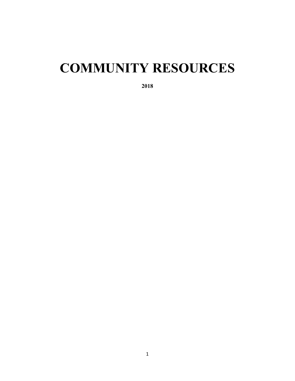# **COMMUNITY RESOURCES**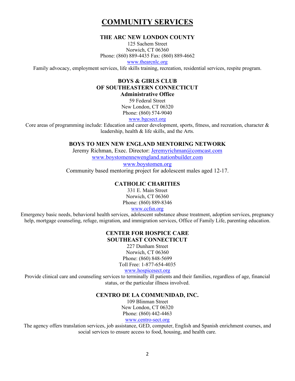# **COMMUNITY SERVICES**

#### **THE ARC NEW LONDON COUNTY**

125 Sachem Street Norwich, CT 06360 Phone: (860) 889-4435 Fax: (860) 889-4662

www.thearcnlc.org

Family advocacy, employment services, life skills training, recreation, residential services, respite program.

# **BOYS & GIRLS CLUB OF SOUTHEASTERN CONNECTICUT**

**Administrative Office**

59 Federal Street New London, CT 06320 Phone: (860) 574-9040

www.bgcsect.org

Core areas of programming include: Education and career development, sports, fitness, and recreation, character  $\&$ leadership, health & life skills, and the Arts.

#### **BOYS TO MEN NEW ENGLAND MENTORING NETWORK**

Jeremy Richman, Exec. Director: Jeremyrichman@comcast.com www.boystomennewengland.nationbuilder.com

www.boystomen.org

Community based mentoring project for adolescent males aged 12-17.

# **CATHOLIC CHARITIES**

331 E. Main Street Norwich, CT 06360 Phone: (860) 889-8346 www.ccfsn.org

Emergency basic needs, behavioral health services, adolescent substance abuse treatment, adoption services, pregnancy help, mortgage counseling, refuge, migration, and immigration services, Office of Family Life, parenting education.

#### **CENTER FOR HOSPICE CARE SOUTHEAST CONNECTICUT**

227 Dunham Street Norwich, CT 06360 Phone: (860) 848-5699 Toll Free: 1-877-654-4035

www.hospicesect.org

Provide clinical care and counseling services to terminally ill patients and their families, regardless of age, financial status, or the particular illness involved.

## **CENTRO DE LA COMMUNIDAD, INC.**

109 Blinman Street New London, CT 06320 Phone: (860) 442-4463 www.centro-sect.org

The agency offers translation services, job assistance, GED, computer, English and Spanish enrichment courses, and social services to ensure access to food, housing, and health care.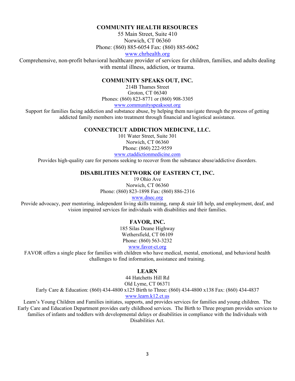#### **COMMUNITY HEALTH RESOURCES**

55 Main Street, Suite 410 Norwich, CT 06360 Phone: (860) 885-6054 Fax: (860) 885-6062

www.chrhealth.org

Comprehensive, non-profit behavioral healthcare provider of services for children, families, and adults dealing with mental illness, addiction, or trauma.

#### **COMMUNITY SPEAKS OUT, INC.**

214B Thames Street Groton, CT 06340 Phones: (860) 823-8771 or (860) 908-3305

www.communityspeaksout.org

Support for families facing addiction and substance abuse, by helping them navigate through the process of getting addicted family members into treatment through financial and logistical assistance.

#### **CONNECTICUT ADDICTION MEDICINE, LLC.**

101 Water Street, Suite 301 Norwich, CT 06360 Phone: (860) 222-9559 www.ctaddictionmedicine.com

Provides high-quality care for persons seeking to recover from the substance abuse/addictive disorders.

#### **DISABILITIES NETWORK OF EASTERN CT, INC.**

19 Ohio Ave Norwich, CT 06360 Phone: (860) 823-1898 Fax: (860) 886-2316

#### www.dnec.org

Provide advocacy, peer mentoring, independent living skills training, ramp & stair lift help, and employment, deaf, and vision impaired services for individuals with disabilities and their families.

#### **FAVOR, INC.**

185 Silas Deane Highway Wethersfield, CT 06109 Phone: (860) 563-3232

www.favor-ct.org

FAVOR offers a single place for families with children who have medical, mental, emotional, and behavioral health challenges to find information, assistance and training.

## **LEARN**

44 Hatchetts Hill Rd Old Lyme, CT 06371 Early Care & Education: (860) 434-4800 x125 Birth to Three: (860) 434-4800 x138 Fax: (860) 434-4837 www.learn.k12.ct.us

Learn's Young Children and Families initiates, supports, and provides services for families and young children. The Early Care and Education Department provides early childhood services. The Birth to Three program provides services to families of infants and toddlers with developmental delays or disabilities in compliance with the Individuals with Disabilities Act.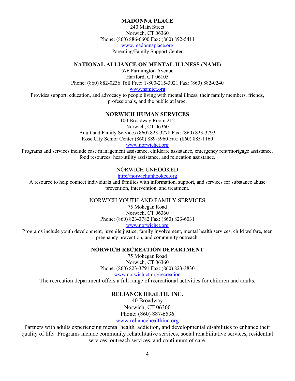#### **MADONNA PLACE**

240 Main Street Norwich, CT 06360 Phone: (860) 886-6600 Fax: (860) 892-5411 www.madonnaplace.org Parenting/Family Support Center

#### **NATIONAL ALLIANCE ON MENTAL ILLNESS (NAMI)**

576 Farmington Avenue Hartford, CT 06105 Phone: (860) 882-0236 Toll Free: 1-800-215-3021 Fax: (860) 882-0240

www.namict.org

Provides support, education, and advocacy to people living with mental illness, their family members, friends, professionals, and the public at large.

#### **NORWICH HUMAN SERVICES**

100 Broadway Room 212 Norwich, CT 06360 Adult and Family Services (860) 823-3778 Fax: (860) 823-3793 Rose City Senior Center (860) 889-5960 Fax: (860) 885-1160

www.norwichct.org

Programs and services include case management assistance, childcare assistance, emergency rent/mortgage assistance, food resources, heat/utility assistance, and relocation assistance.

# NORWICH UNHOOKED

http://norwichunhooked.org

A resource to help connect individuals and families with information, support, and services for substance abuse prevention, intervention, and treatment.

#### NORWICH YOUTH AND FAMILY SERVICES

75 Mohegan Road Norwich, CT 06360 Phone: (860) 823-3782 Fax: (860) 823-6031

www.norwichct.org

Programs include youth development, juvenile justice, family involvement, mental health services, child welfare, teen pregnancy prevention, and community outreach.

#### **NORWICH RECREATION DEPARTMENT**

75 Mohegan Road Norwich, CT 06360 Phone: (860) 823-3791 Fax: (860) 823-3830 www.norwichtct.org/recreation

The recreation department offers a full range of recreational activities for children and adults.

#### **RELIANCE HEALTH, INC.**

40 Broadway Norwich, CT 06360 Phone: (860) 887-6536

www.reliancehealthinc.org

Partners with adults experiencing mental health, addiction, and developmental disabilities to enhance their quality of life. Programs include community rehabilitative services, social rehabilitative services, residential services, outreach services, and continuum of care.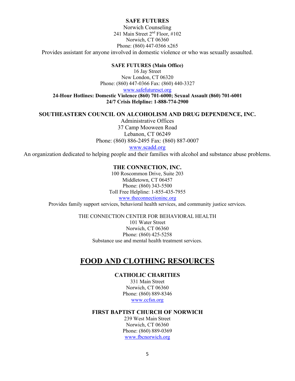#### **SAFE FUTURES**

Norwich Counseling 241 Main Street 2nd Floor, #102 Norwich, CT 06360 Phone: (860) 447-0366 x265 Provides assistant for anyone involved in domestic violence or who was sexually assaulted.

#### **SAFE FUTURES (Main Office)**

16 Jay Street New London, CT 06320 Phone: (860) 447-0366 Fax: (860) 440-3327

www.safefuturesct.org

**24-Hour Hotlines: Domestic Violence (860) 701-6000; Sexual Assault (860) 701-6001 24/7 Crisis Helpline: 1-888-774-2900**

#### **SOUTHEASTERN COUNCIL ON ALCOHOLISM AND DRUG DEPENDENCE, INC.**

Administrative Offices 37 Camp Mooween Road Lebanon, CT 06249 Phone: (860) 886-2495 Fax: (860) 887-0007 www.scadd.org

An organization dedicated to helping people and their families with alcohol and substance abuse problems.

#### **THE CONNECTION, INC.**

100 Roscommon Drive, Suite 203 Middletown, CT 06457 Phone: (860) 343-5500 Toll Free Helpline: 1-855-435-7955 www.theconnectioninc.org Provides family support services, behavioral health services, and community justice services.

THE CONNECTION CENTER FOR BEHAVIORAL HEALTH

101 Water Street Norwich, CT 06360 Phone: (860) 425-5258 Substance use and mental health treatment services.

# **FOOD AND CLOTHING RESOURCES**

## **CATHOLIC CHARITIES**

331 Main Street Norwich, CT 06360 Phone: (860) 889-8346 www.ccfsn.org

#### **FIRST BAPTIST CHURCH OF NORWICH**

239 West Main Street Norwich, CT 06360 Phone: (860) 889-0369 www.fbcnorwich.org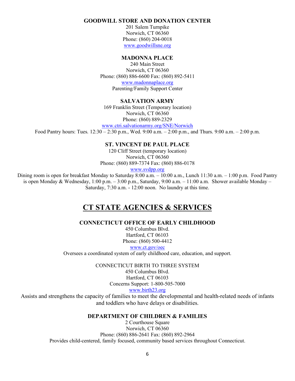#### **GOODWILL STORE AND DONATION CENTER**

201 Salem Turnpike Norwich, CT 06360 Phone: (860) 204-0018 www.goodwillsne.org

#### **MADONNA PLACE**

240 Main Street Norwich, CT 06360 Phone: (860) 886-6600 Fax: (860) 892-5411 www.madonnaplace.org Parenting/Family Support Center

## **SALVATION ARMY**

169 Franklin Street (Temporary location) Norwich, CT 06360 Phone: (860) 889-2329

www.ctri.salvationarmy.org/SNE/Norwich

Food Pantry hours: Tues. 12:30 – 2:30 p.m., Wed. 9:00 a.m. – 2:00 p.m., and Thurs. 9:00 a.m. – 2:00 p.m.

#### **ST. VINCENT DE PAUL PLACE**

120 Cliff Street (temporary location) Norwich, CT 06360 Phone: (860) 889-7374 Fax: (860) 886-0178

www.svdpp.org

Dining room is open for breakfast Monday to Saturday 8:00 a.m. – 10:00 a.m., Lunch 11:30 a.m. – 1:00 p.m. Food Pantry is open Monday & Wednesday,  $1:00$  p.m.  $-3:00$  p.m., Saturday,  $9:00$  a.m.  $-11:00$  a.m. Shower available Monday – Saturday, 7:30 a.m. - 12:00 noon. No laundry at this time.

# **CT STATE AGENCIES & SERVICES**

**CONNECTICUT OFFICE OF EARLY CHILDHOOD**

450 Columbus Blvd. Hartford, CT 06103 Phone: (860) 500-4412

www.ct.gov/oec

Oversees a coordinated system of early childhood care, education, and support.

CONNECTICUT BIRTH TO THREE SYSTEM

450 Columbus Blvd. Hartford, CT 06103 Concerns Support: 1-800-505-7000

www.birth23.org

Assists and strengthens the capacity of families to meet the developmental and health-related needs of infants and toddlers who have delays or disabilities.

#### **DEPARTMENT OF CHILDREN & FAMILIES**

2 Courthouse Square Norwich, CT 06360 Phone: (860) 886-2641 Fax: (860) 892-2964 Provides child-centered, family focused, community based services throughout Connecticut.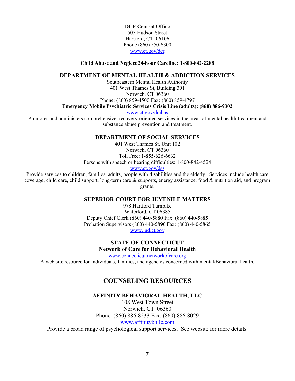**DCF Central Office** 505 Hudson Street Hartford, CT 06106 Phone (860) 550-6300 www.ct.gov/dcf

#### **Child Abuse and Neglect 24-hour Careline: 1-800-842-2288**

#### **DEPARTMENT OF MENTAL HEALTH & ADDICTION SERVICES**

Southeastern Mental Health Authority 401 West Thames St, Building 301 Norwich, CT 06360 Phone: (860) 859-4500 Fax: (860) 859-4797

#### **Emergency Mobile Psychiatric Services Crisis Line (adults): (860) 886-9302**

www.ct.gov/dmhas

Promotes and administers comprehensive, recovery-oriented services in the areas of mental health treatment and substance abuse prevention and treatment.

#### **DEPARTMENT OF SOCIAL SERVICES**

401 West Thames St, Unit 102 Norwich, CT 06360 Toll Free: 1-855-626-6632 Persons with speech or hearing difficulties: 1-800-842-4524

www.ct.gov/dss

Provide services to children, families, adults, people with disabilities and the elderly. Services include health care coverage, child care, child support, long-term care  $\&$  supports, energy assistance, food  $\&$  nutrition aid, and program grants.

#### **SUPERIOR COURT FOR JUVENILE MATTERS**

978 Hartford Turnpike Waterford, CT 06385 Deputy Chief Clerk (860) 440-5880 Fax: (860) 440-5885 Probation Supervisors (860) 440-5890 Fax: (860) 440-5865 www.jud.ct.gov

# **STATE OF CONNECTICUT Network of Care for Behavioral Health**

www.connecticut.networkofcare.org

A web site resource for individuals, families, and agencies concerned with mental/Behavioral health.

# **COUNSELING RESOURCES**

#### **AFFINITY BEHAVIORAL HEALTH, LLC**

108 West Town Street Norwich, CT 06360 Phone: (860) 886-8233 Fax: (860) 886-8029 www.affinitybhllc.com

Provide a broad range of psychological support services. See website for more details.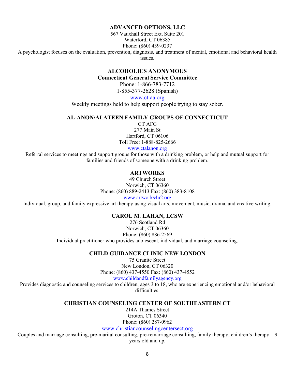#### **ADVANCED OPTIONS, LLC**

567 Vauxhall Street Ext, Suite 201 Waterford, CT 06385 Phone: (860) 439-0237

A psychologist focuses on the evaluation, prevention, diagnosis, and treatment of mental, emotional and behavioral health issues.

# **ALCOHOLICS ANONYMOUS**

**Connecticut General Service Committee**

Phone: 1-866-783-7712 1-855-377-2628 (Spanish)

www.ct-aa.org

Weekly meetings held to help support people trying to stay sober.

#### **AL-ANON/ALATEEN FAMILY GROUPS OF CONNECTICUT**

CT AFG 277 Main St Hartford, CT 06106 Toll Free: 1-888-825-2666 www.ctalanon.org

Referral services to meetings and support groups for those with a drinking problem, or help and mutual support for families and friends of someone with a drinking problem.

#### **ARTWORKS**

49 Church Street Norwich, CT 06360 Phone: (860) 889-2413 Fax: (860) 383-8108 www.artworks4u2.org

Individual, group, and family expressive art therapy using visual arts, movement, music, drama, and creative writing.

#### **CAROL M. LAHAN, LCSW**

276 Scotland Rd Norwich, CT 06360 Phone: (860) 886-2569 Individual practitioner who provides adolescent, individual, and marriage counseling.

#### **CHILD GUIDANCE CLINIC NEW LONDON**

75 Granite Street New London, CT 06320 Phone: (860) 437-4550 Fax: (860) 437-4552

www.childandfamilyagency.org

Provides diagnostic and counseling services to children, ages 3 to 18, who are experiencing emotional and/or behavioral difficulties.

#### **CHRISTIAN COUNSELING CENTER OF SOUTHEASTERN CT**

214A Thames Street Groton, CT 06340 Phone: (860) 287-0962

www.christiancounselingcentersect.org

Couples and marriage consulting, pre-marital consulting, pre-remarriage consulting, family therapy, children's therapy – 9 years old and up.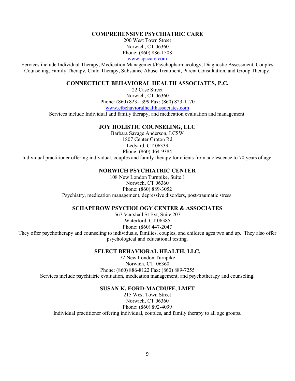#### **COMPREHENSIVE PSYCHIATRIC CARE**

200 West Town Street Norwich, CT 06360 Phone: (860) 886-1508

www.cpccare.com

Services include Individual Therapy, Medication Management/Psychopharmacology, Diagnostic Assessment, Couples Counseling, Family Therapy, Child Therapy, Substance Abuse Treatment, Parent Consultation, and Group Therapy.

#### **CONNECTICUT BEHAVIORAL HEALTH ASSOCIATES, P.C.**

22 Case Street Norwich, CT 06360 Phone: (860) 823-1399 Fax: (860) 823-1170 www.ctbehavioralhealthassociates.com

Services include Individual and family therapy, and medication evaluation and management.

#### **JOY HOLISTIC COUNSELING, LLC**

Barbara Savage Anderson, LCSW 1807 Center Groton Rd Ledyard, CT 06339 Phone: (860) 464-9384 Individual practitioner offering individual, couples and family therapy for clients from adolescence to 70 years of age.

#### **NORWICH PSYCHIATRIC CENTER**

108 New London Turnpike, Suite 1 Norwich, CT 06360 Phone: (860) 889-3052 Psychiatry, medication management, depressive disorders, post-traumatic stress.

#### **SCHAPEROW PSYCHOLOGY CENTER & ASSOCIATES**

567 Vauxhall St Ext, Suite 207 Waterford, CT 06385 Phone: (860) 447-2047 They offer psychotherapy and counseling to individuals, families, couples, and children ages two and up. They also offer psychological and educational testing.

#### **SELECT BEHAVIORAL HEALTH, LLC.**

72 New London Turnpike Norwich, CT 06360 Phone: (860) 886-8122 Fax: (860) 889-7255 Services include psychiatric evaluation, medication management, and psychotherapy and counseling.

#### **SUSAN K. FORD-MACDUFF, LMFT**

215 West Town Street Norwich, CT 06360 Phone: (860) 892-4099 Individual practitioner offering individual, couples, and family therapy to all age groups.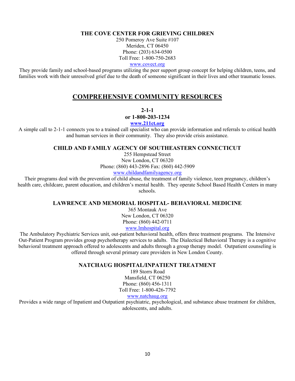#### **THE COVE CENTER FOR GRIEVING CHILDREN**

250 Pomeroy Ave Suite #107 Meriden, CT 06450 Phone: (203) 634-0500 Toll Free: 1-800-750-2683

www.covect.org

They provide family and school-based programs utilizing the peer support group concept for helping children, teens, and families work with their unresolved grief due to the death of someone significant in their lives and other traumatic losses.

# **COMPREHENSIVE COMMUNITY RESOURCES**

**2-1-1**

**or 1-800-203-1234**

**www.211ct.org**

A simple call to 2-1-1 connects you to a trained call specialist who can provide information and referrals to critical health and human services in their community. They also provide crisis assistance.

#### **CHILD AND FAMILY AGENCY OF SOUTHEASTERN CONNECTICUT**

255 Hempstead Street New London, CT 06320 Phone: (860) 443-2896 Fax: (860) 442-5909 www.childandfamilyagency.org

Their programs deal with the prevention of child abuse, the treatment of family violence, teen pregnancy, children's health care, childcare, parent education, and children's mental health. They operate School Based Health Centers in many schools.

## **LAWRENCE AND MEMORIAL HOSPITAL- BEHAVIORAL MEDICINE**

365 Montauk Ave New London, CT 06320 Phone: (860) 442-0711 www.lmhospital.org

The Ambulatory Psychiatric Services unit, out-patient behavioral health, offers three treatment programs. The Intensive Out-Patient Program provides group psychotherapy services to adults. The Dialectical Behavioral Therapy is a cognitive behavioral treatment approach offered to adolescents and adults through a group therapy model. Outpatient counseling is offered through several primary care providers in New London County.

#### **NATCHAUG HOSPITAL/INPATIENT TREATMENT**

189 Storrs Road Mansfield, CT 06250 Phone: (860) 456-1311 Toll Free: 1-800-426-7792

www.natchaug.org

Provides a wide range of Inpatient and Outpatient psychiatric, psychological, and substance abuse treatment for children, adolescents, and adults.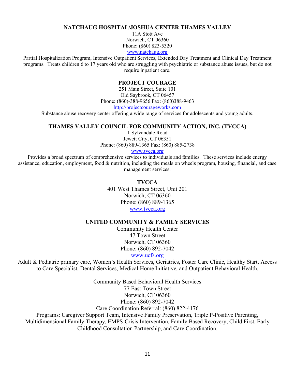#### **NATCHAUG HOSPITAL/JOSHUA CENTER THAMES VALLEY**

11A Stott Ave Norwich, CT 06360 Phone: (860) 823-5320

www.natchaug.org

Partial Hospitalization Program, Intensive Outpatient Services, Extended Day Treatment and Clinical Day Treatment programs. Treats children 6 to 17 years old who are struggling with psychiatric or substance abuse issues, but do not require inpatient care.

#### **PROJECT COURAGE**

251 Main Street, Suite 101 Old Saybrook, CT 06457 Phone: (860)-388-9656 Fax: (860)388-9463 http://projectcourageworks.com

Substance abuse recovery center offering a wide range of services for adolescents and young adults.

#### **THAMES VALLEY COUNCIL FOR COMMUNITY ACTION, INC. (TVCCA)**

1 Sylvandale Road Jewett City, CT 06351 Phone: (860) 889-1365 Fax: (860) 885-2738

#### www.tvcca.org

Provides a broad spectrum of comprehensive services to individuals and families. These services include energy assistance, education, employment, food & nutrition, including the meals on wheels program, housing, financial, and case management services.

#### **TVCCA**

401 West Thames Street, Unit 201 Norwich, CT 06360 Phone: (860) 889-1365 www.tvcca.org

# **UNITED COMMUNITY & FAMILY SERVICES**

Community Health Center 47 Town Street Norwich, CT 06360 Phone: (860) 892-7042

www.ucfs.org

Adult & Pediatric primary care, Women's Health Services, Geriatrics, Foster Care Clinic, Healthy Start, Access to Care Specialist, Dental Services, Medical Home Initiative, and Outpatient Behavioral Health.

Community Based Behavioral Health Services 77 East Town Street Norwich, CT 06360 Phone: (860) 892-7042 Care Coordination Referral: (860) 822-4176 Programs: Caregiver Support Team, Intensive Family Preservation, Triple P-Positive Parenting, Multidimensional Family Therapy, EMPS-Crisis Intervention, Family Based Recovery, Child First, Early

Childhood Consultation Partnership, and Care Coordination.